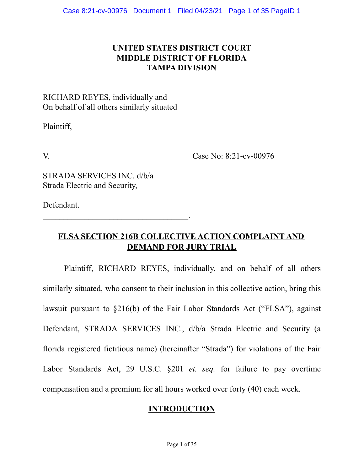# **UNITED STATES DISTRICT COURT MIDDLE DISTRICT OF FLORIDA TAMPA DIVISION**

# RICHARD REYES, individually and On behalf of all others similarly situated

Plaintiff,

V. Case No: 8:21-cv-00976

STRADA SERVICES INC. d/b/a Strada Electric and Security,

 $\mathcal{L}_\text{max}$  , and the set of the set of the set of the set of the set of the set of the set of the set of the set of the set of the set of the set of the set of the set of the set of the set of the set of the set of the

Defendant.

# **FLSA SECTION 216B COLLECTIVE ACTION COMPLAINT AND DEMAND FOR JURY TRIAL**

Plaintiff, RICHARD REYES, individually, and on behalf of all others similarly situated, who consent to their inclusion in this collective action, bring this lawsuit pursuant to §216(b) of the Fair Labor Standards Act ("FLSA"), against Defendant, STRADA SERVICES INC., d/b/a Strada Electric and Security (a florida registered fictitious name) (hereinafter "Strada") for violations of the Fair Labor Standards Act, 29 U.S.C. §201 *et. seq.* for failure to pay overtime compensation and a premium for all hours worked over forty (40) each week.

## **INTRODUCTION**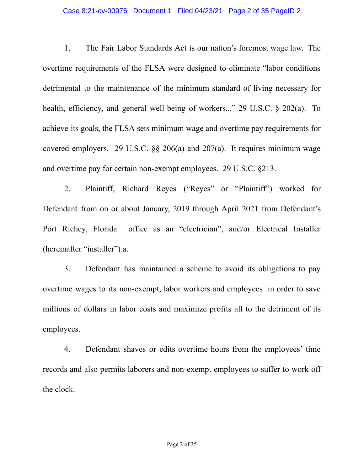### Case 8:21-cv-00976 Document 1 Filed 04/23/21 Page 2 of 35 PageID 2

1. The Fair Labor Standards Act is our nation's foremost wage law. The overtime requirements of the FLSA were designed to eliminate "labor conditions detrimental to the maintenance of the minimum standard of living necessary for health, efficiency, and general well-being of workers..." 29 U.S.C. § 202(a). To achieve its goals, the FLSA sets minimum wage and overtime pay requirements for covered employers. 29 U.S.C. §§ 206(a) and 207(a). It requires minimum wage and overtime pay for certain non-exempt employees. 29 U.S.C. §213.

2. Plaintiff, Richard Reyes ("Reyes" or "Plaintiff") worked for Defendant from on or about January, 2019 through April 2021 from Defendant's Port Richey, Florida office as an "electrician", and/or Electrical Installer (hereinafter "installer") a.

3. Defendant has maintained a scheme to avoid its obligations to pay overtime wages to its non-exempt, labor workers and employees in order to save millions of dollars in labor costs and maximize profits all to the detriment of its employees.

4. Defendant shaves or edits overtime hours from the employees' time records and also permits laborers and non-exempt employees to suffer to work off the clock.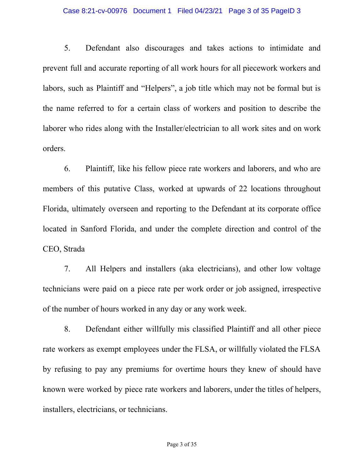### Case 8:21-cv-00976 Document 1 Filed 04/23/21 Page 3 of 35 PageID 3

5. Defendant also discourages and takes actions to intimidate and prevent full and accurate reporting of all work hours for all piecework workers and labors, such as Plaintiff and "Helpers", a job title which may not be formal but is the name referred to for a certain class of workers and position to describe the laborer who rides along with the Installer/electrician to all work sites and on work orders.

6. Plaintiff, like his fellow piece rate workers and laborers, and who are members of this putative Class, worked at upwards of 22 locations throughout Florida, ultimately overseen and reporting to the Defendant at its corporate office located in Sanford Florida, and under the complete direction and control of the CEO, Strada

7. All Helpers and installers (aka electricians), and other low voltage technicians were paid on a piece rate per work order or job assigned, irrespective of the number of hours worked in any day or any work week.

8. Defendant either willfully mis classified Plaintiff and all other piece rate workers as exempt employees under the FLSA, or willfully violated the FLSA by refusing to pay any premiums for overtime hours they knew of should have known were worked by piece rate workers and laborers, under the titles of helpers, installers, electricians, or technicians.

Page 3 of 35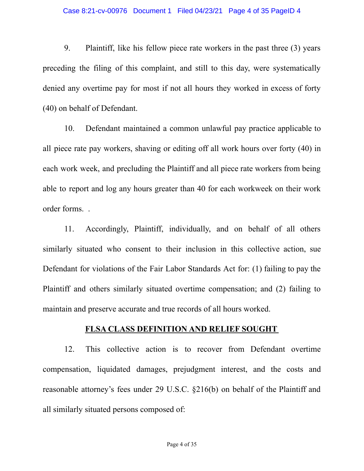9. Plaintiff, like his fellow piece rate workers in the past three (3) years preceding the filing of this complaint, and still to this day, were systematically denied any overtime pay for most if not all hours they worked in excess of forty (40) on behalf of Defendant.

10. Defendant maintained a common unlawful pay practice applicable to all piece rate pay workers, shaving or editing off all work hours over forty (40) in each work week, and precluding the Plaintiff and all piece rate workers from being able to report and log any hours greater than 40 for each workweek on their work order forms. .

11. Accordingly, Plaintiff, individually, and on behalf of all others similarly situated who consent to their inclusion in this collective action, sue Defendant for violations of the Fair Labor Standards Act for: (1) failing to pay the Plaintiff and others similarly situated overtime compensation; and (2) failing to maintain and preserve accurate and true records of all hours worked.

### **FLSA CLASS DEFINITION AND RELIEF SOUGHT**

12. This collective action is to recover from Defendant overtime compensation, liquidated damages, prejudgment interest, and the costs and reasonable attorney's fees under 29 U.S.C. §216(b) on behalf of the Plaintiff and all similarly situated persons composed of: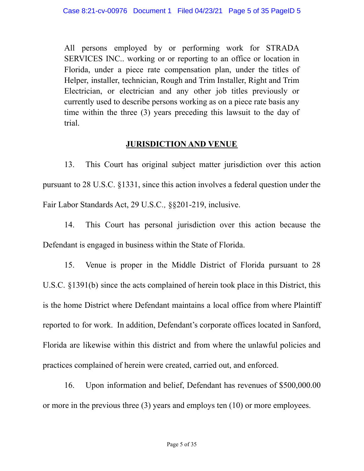All persons employed by or performing work for STRADA SERVICES INC.. working or or reporting to an office or location in Florida, under a piece rate compensation plan, under the titles of Helper, installer, technician, Rough and Trim Installer, Right and Trim Electrician, or electrician and any other job titles previously or currently used to describe persons working as on a piece rate basis any time within the three (3) years preceding this lawsuit to the day of trial.

# **JURISDICTION AND VENUE**

13. This Court has original subject matter jurisdiction over this action pursuant to 28 U.S.C. §1331, since this action involves a federal question under the Fair Labor Standards Act, 29 U.S.C*.,* §§201-219, inclusive.

14. This Court has personal jurisdiction over this action because the Defendant is engaged in business within the State of Florida.

15. Venue is proper in the Middle District of Florida pursuant to 28 U.S.C. §1391(b) since the acts complained of herein took place in this District, this is the home District where Defendant maintains a local office from where Plaintiff reported to for work. In addition, Defendant's corporate offices located in Sanford, Florida are likewise within this district and from where the unlawful policies and practices complained of herein were created, carried out, and enforced.

16. Upon information and belief, Defendant has revenues of \$500,000.00 or more in the previous three (3) years and employs ten (10) or more employees.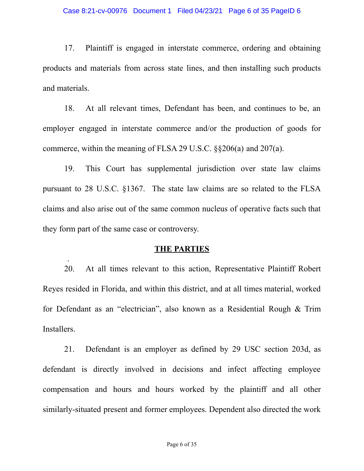17. Plaintiff is engaged in interstate commerce, ordering and obtaining products and materials from across state lines, and then installing such products and materials.

18. At all relevant times, Defendant has been, and continues to be, an employer engaged in interstate commerce and/or the production of goods for commerce, within the meaning of FLSA 29 U.S.C. §§206(a) and 207(a).

19. This Court has supplemental jurisdiction over state law claims pursuant to 28 U.S.C. §1367. The state law claims are so related to the FLSA claims and also arise out of the same common nucleus of operative facts such that they form part of the same case or controversy.

### **THE PARTIES**

.

20. At all times relevant to this action, Representative Plaintiff Robert Reyes resided in Florida, and within this district, and at all times material, worked for Defendant as an "electrician", also known as a Residential Rough & Trim Installers.

21. Defendant is an employer as defined by 29 USC section 203d, as defendant is directly involved in decisions and infect affecting employee compensation and hours and hours worked by the plaintiff and all other similarly-situated present and former employees. Dependent also directed the work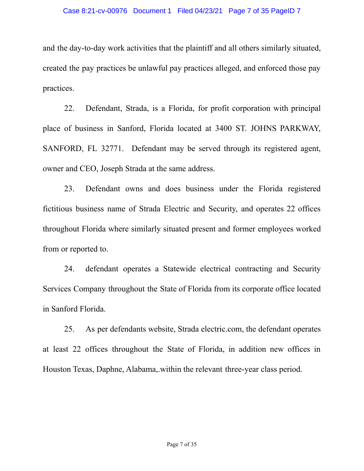and the day-to-day work activities that the plaintiff and all others similarly situated, created the pay practices be unlawful pay practices alleged, and enforced those pay practices.

22. Defendant, Strada, is a Florida, for profit corporation with principal place of business in Sanford, Florida located at 3400 ST. JOHNS PARKWAY, SANFORD, FL 32771. Defendant may be served through its registered agent, owner and CEO, Joseph Strada at the same address.

23. Defendant owns and does business under the Florida registered fictitious business name of Strada Electric and Security, and operates 22 offices throughout Florida where similarly situated present and former employees worked from or reported to.

24. defendant operates a Statewide electrical contracting and Security Services Company throughout the State of Florida from its corporate office located in Sanford Florida.

25. As per defendants website, Strada electric.com, the defendant operates at least 22 offices throughout the State of Florida, in addition new offices in Houston Texas, Daphne, Alabama,.within the relevant three-year class period.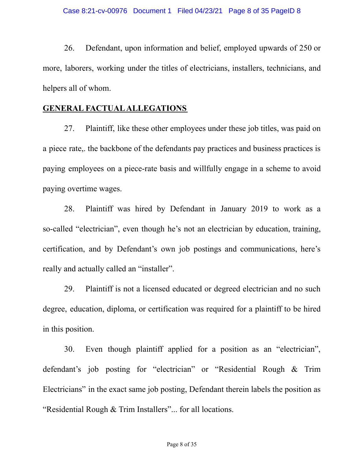26. Defendant, upon information and belief, employed upwards of 250 or more, laborers, working under the titles of electricians, installers, technicians, and helpers all of whom.

### **GENERAL FACTUALALLEGATIONS**

27. Plaintiff, like these other employees under these job titles, was paid on a piece rate,. the backbone of the defendants pay practices and business practices is paying employees on a piece-rate basis and willfully engage in a scheme to avoid paying overtime wages.

28. Plaintiff was hired by Defendant in January 2019 to work as a so-called "electrician", even though he's not an electrician by education, training, certification, and by Defendant's own job postings and communications, here's really and actually called an "installer".

29. Plaintiff is not a licensed educated or degreed electrician and no such degree, education, diploma, or certification was required for a plaintiff to be hired in this position.

30. Even though plaintiff applied for a position as an "electrician", defendant's job posting for "electrician" or "Residential Rough & Trim Electricians" in the exact same job posting, Defendant therein labels the position as "Residential Rough & Trim Installers"... for all locations.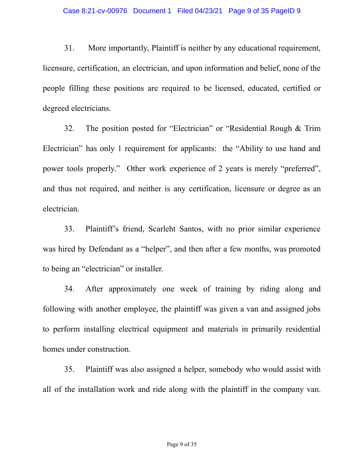31. More importantly, Plaintiff is neither by any educational requirement, licensure, certification, an electrician, and upon information and belief, none of the people filling these positions are required to be licensed, educated, certified or degreed electricians.

32. The position posted for "Electrician" or "Residential Rough & Trim Electrician" has only 1 requirement for applicants: the "Ability to use hand and power tools properly." Other work experience of 2 years is merely "preferred", and thus not required, and neither is any certification, licensure or degree as an electrician.

33. Plaintiff's friend, Scarleht Santos, with no prior similar experience was hired by Defendant as a "helper", and then after a few months, was promoted to being an "electrician" or installer.

34. After approximately one week of training by riding along and following with another employee, the plaintiff was given a van and assigned jobs to perform installing electrical equipment and materials in primarily residential homes under construction.

35. Plaintiff was also assigned a helper, somebody who would assist with all of the installation work and ride along with the plaintiff in the company van.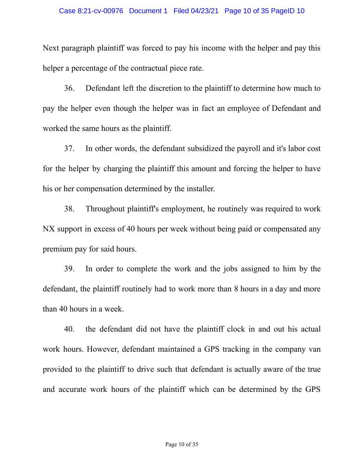Next paragraph plaintiff was forced to pay his income with the helper and pay this helper a percentage of the contractual piece rate.

36. Defendant left the discretion to the plaintiff to determine how much to pay the helper even though the helper was in fact an employee of Defendant and worked the same hours as the plaintiff.

37. In other words, the defendant subsidized the payroll and it's labor cost for the helper by charging the plaintiff this amount and forcing the helper to have his or her compensation determined by the installer.

38. Throughout plaintiff's employment, he routinely was required to work NX support in excess of 40 hours per week without being paid or compensated any premium pay for said hours.

39. In order to complete the work and the jobs assigned to him by the defendant, the plaintiff routinely had to work more than 8 hours in a day and more than 40 hours in a week.

40. the defendant did not have the plaintiff clock in and out his actual work hours. However, defendant maintained a GPS tracking in the company van provided to the plaintiff to drive such that defendant is actually aware of the true and accurate work hours of the plaintiff which can be determined by the GPS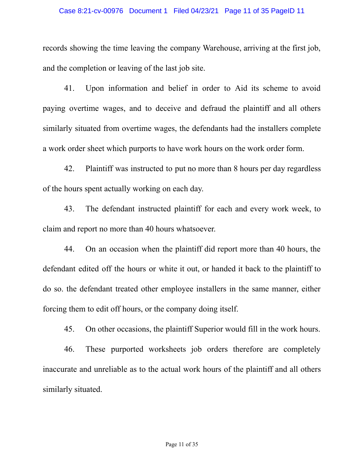#### Case 8:21-cv-00976 Document 1 Filed 04/23/21 Page 11 of 35 PageID 11

records showing the time leaving the company Warehouse, arriving at the first job, and the completion or leaving of the last job site.

41. Upon information and belief in order to Aid its scheme to avoid paying overtime wages, and to deceive and defraud the plaintiff and all others similarly situated from overtime wages, the defendants had the installers complete a work order sheet which purports to have work hours on the work order form.

42. Plaintiff was instructed to put no more than 8 hours per day regardless of the hours spent actually working on each day.

43. The defendant instructed plaintiff for each and every work week, to claim and report no more than 40 hours whatsoever.

44. On an occasion when the plaintiff did report more than 40 hours, the defendant edited off the hours or white it out, or handed it back to the plaintiff to do so. the defendant treated other employee installers in the same manner, either forcing them to edit off hours, or the company doing itself.

45. On other occasions, the plaintiff Superior would fill in the work hours.

46. These purported worksheets job orders therefore are completely inaccurate and unreliable as to the actual work hours of the plaintiff and all others similarly situated.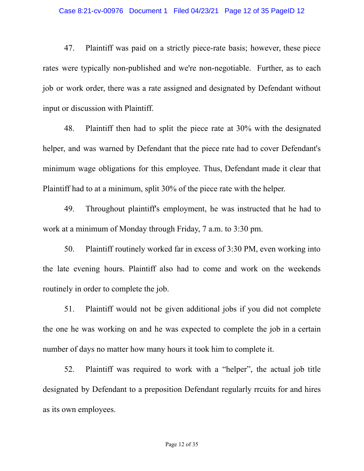47. Plaintiff was paid on a strictly piece-rate basis; however, these piece rates were typically non-published and we're non-negotiable. Further, as to each job or work order, there was a rate assigned and designated by Defendant without input or discussion with Plaintiff.

48. Plaintiff then had to split the piece rate at 30% with the designated helper, and was warned by Defendant that the piece rate had to cover Defendant's minimum wage obligations for this employee. Thus, Defendant made it clear that Plaintiff had to at a minimum, split 30% of the piece rate with the helper.

49. Throughout plaintiff's employment, he was instructed that he had to work at a minimum of Monday through Friday, 7 a.m. to 3:30 pm.

50. Plaintiff routinely worked far in excess of 3:30 PM, even working into the late evening hours. Plaintiff also had to come and work on the weekends routinely in order to complete the job.

51. Plaintiff would not be given additional jobs if you did not complete the one he was working on and he was expected to complete the job in a certain number of days no matter how many hours it took him to complete it.

52. Plaintiff was required to work with a "helper", the actual job title designated by Defendant to a preposition Defendant regularly rrcuits for and hires as its own employees.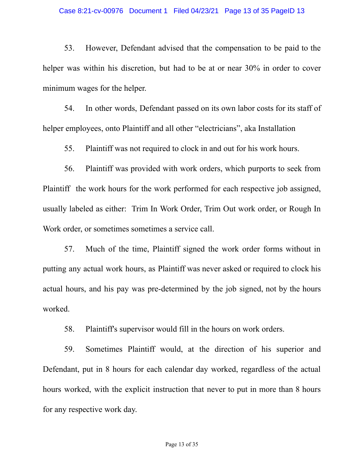53. However, Defendant advised that the compensation to be paid to the helper was within his discretion, but had to be at or near 30% in order to cover minimum wages for the helper.

54. In other words, Defendant passed on its own labor costs for its staff of helper employees, onto Plaintiff and all other "electricians", aka Installation

55. Plaintiff was not required to clock in and out for his work hours.

56. Plaintiff was provided with work orders, which purports to seek from Plaintiff the work hours for the work performed for each respective job assigned, usually labeled as either: Trim In Work Order, Trim Out work order, or Rough In Work order, or sometimes sometimes a service call.

57. Much of the time, Plaintiff signed the work order forms without in putting any actual work hours, as Plaintiff was never asked or required to clock his actual hours, and his pay was pre-determined by the job signed, not by the hours worked.

58. Plaintiff's supervisor would fill in the hours on work orders.

59. Sometimes Plaintiff would, at the direction of his superior and Defendant, put in 8 hours for each calendar day worked, regardless of the actual hours worked, with the explicit instruction that never to put in more than 8 hours for any respective work day.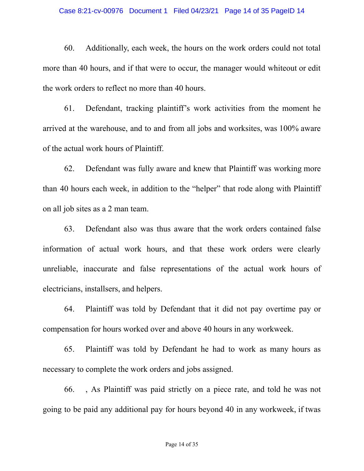#### Case 8:21-cv-00976 Document 1 Filed 04/23/21 Page 14 of 35 PageID 14

60. Additionally, each week, the hours on the work orders could not total more than 40 hours, and if that were to occur, the manager would whiteout or edit the work orders to reflect no more than 40 hours.

61. Defendant, tracking plaintiff's work activities from the moment he arrived at the warehouse, and to and from all jobs and worksites, was 100% aware of the actual work hours of Plaintiff.

62. Defendant was fully aware and knew that Plaintiff was working more than 40 hours each week, in addition to the "helper" that rode along with Plaintiff on all job sites as a 2 man team.

63. Defendant also was thus aware that the work orders contained false information of actual work hours, and that these work orders were clearly unreliable, inaccurate and false representations of the actual work hours of electricians, installsers, and helpers.

64. Plaintiff was told by Defendant that it did not pay overtime pay or compensation for hours worked over and above 40 hours in any workweek.

65. Plaintiff was told by Defendant he had to work as many hours as necessary to complete the work orders and jobs assigned.

66. , As Plaintiff was paid strictly on a piece rate, and told he was not going to be paid any additional pay for hours beyond 40 in any workweek, if twas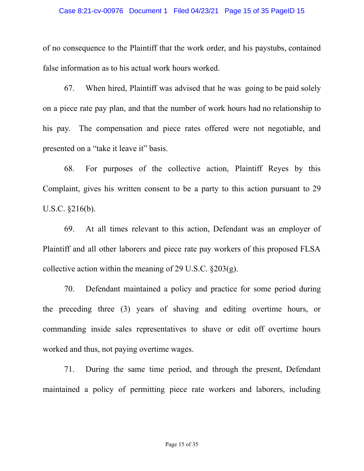#### Case 8:21-cv-00976 Document 1 Filed 04/23/21 Page 15 of 35 PageID 15

of no consequence to the Plaintiff that the work order, and his paystubs, contained false information as to his actual work hours worked.

67. When hired, Plaintiff was advised that he was going to be paid solely on a piece rate pay plan, and that the number of work hours had no relationship to his pay. The compensation and piece rates offered were not negotiable, and presented on a "take it leave it" basis.

68. For purposes of the collective action, Plaintiff Reyes by this Complaint, gives his written consent to be a party to this action pursuant to 29 U.S.C. §216(b).

69. At all times relevant to this action, Defendant was an employer of Plaintiff and all other laborers and piece rate pay workers of this proposed FLSA collective action within the meaning of 29 U.S.C. §203(g).

70. Defendant maintained a policy and practice for some period during the preceding three (3) years of shaving and editing overtime hours, or commanding inside sales representatives to shave or edit off overtime hours worked and thus, not paying overtime wages.

71. During the same time period, and through the present, Defendant maintained a policy of permitting piece rate workers and laborers, including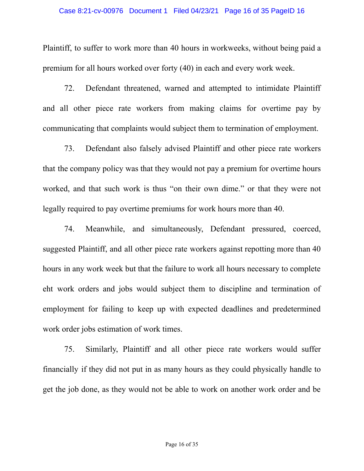### Case 8:21-cv-00976 Document 1 Filed 04/23/21 Page 16 of 35 PageID 16

Plaintiff, to suffer to work more than 40 hours in workweeks, without being paid a premium for all hours worked over forty (40) in each and every work week.

72. Defendant threatened, warned and attempted to intimidate Plaintiff and all other piece rate workers from making claims for overtime pay by communicating that complaints would subject them to termination of employment.

73. Defendant also falsely advised Plaintiff and other piece rate workers that the company policy was that they would not pay a premium for overtime hours worked, and that such work is thus "on their own dime." or that they were not legally required to pay overtime premiums for work hours more than 40.

74. Meanwhile, and simultaneously, Defendant pressured, coerced, suggested Plaintiff, and all other piece rate workers against repotting more than 40 hours in any work week but that the failure to work all hours necessary to complete eht work orders and jobs would subject them to discipline and termination of employment for failing to keep up with expected deadlines and predetermined work order jobs estimation of work times.

75. Similarly, Plaintiff and all other piece rate workers would suffer financially if they did not put in as many hours as they could physically handle to get the job done, as they would not be able to work on another work order and be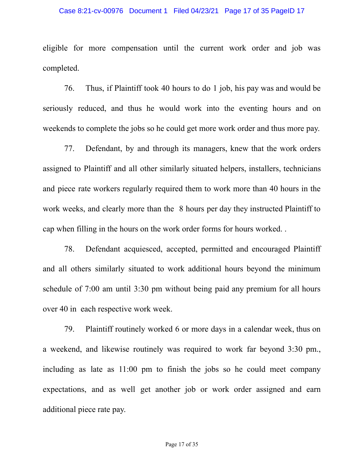#### Case 8:21-cv-00976 Document 1 Filed 04/23/21 Page 17 of 35 PageID 17

eligible for more compensation until the current work order and job was completed.

76. Thus, if Plaintiff took 40 hours to do 1 job, his pay was and would be seriously reduced, and thus he would work into the eventing hours and on weekends to complete the jobs so he could get more work order and thus more pay.

77. Defendant, by and through its managers, knew that the work orders assigned to Plaintiff and all other similarly situated helpers, installers, technicians and piece rate workers regularly required them to work more than 40 hours in the work weeks, and clearly more than the 8 hours per day they instructed Plaintiff to cap when filling in the hours on the work order forms for hours worked. .

78. Defendant acquiesced, accepted, permitted and encouraged Plaintiff and all others similarly situated to work additional hours beyond the minimum schedule of 7:00 am until 3:30 pm without being paid any premium for all hours over 40 in each respective work week.

79. Plaintiff routinely worked 6 or more days in a calendar week, thus on a weekend, and likewise routinely was required to work far beyond 3:30 pm., including as late as 11:00 pm to finish the jobs so he could meet company expectations, and as well get another job or work order assigned and earn additional piece rate pay.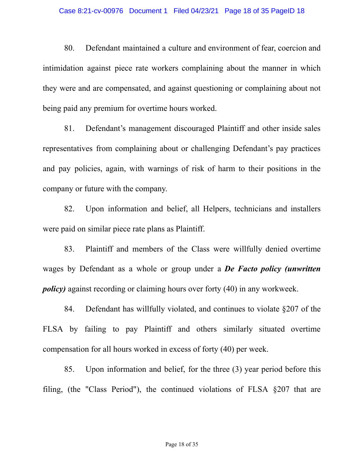80. Defendant maintained a culture and environment of fear, coercion and intimidation against piece rate workers complaining about the manner in which they were and are compensated, and against questioning or complaining about not being paid any premium for overtime hours worked.

81. Defendant's management discouraged Plaintiff and other inside sales representatives from complaining about or challenging Defendant's pay practices and pay policies, again, with warnings of risk of harm to their positions in the company or future with the company.

82. Upon information and belief, all Helpers, technicians and installers were paid on similar piece rate plans as Plaintiff.

83. Plaintiff and members of the Class were willfully denied overtime wages by Defendant as a whole or group under a *De Facto policy (unwritten policy)* against recording or claiming hours over forty (40) in any workweek.

84. Defendant has willfully violated, and continues to violate §207 of the FLSA by failing to pay Plaintiff and others similarly situated overtime compensation for all hours worked in excess of forty (40) per week.

85. Upon information and belief, for the three (3) year period before this filing, (the "Class Period"), the continued violations of FLSA §207 that are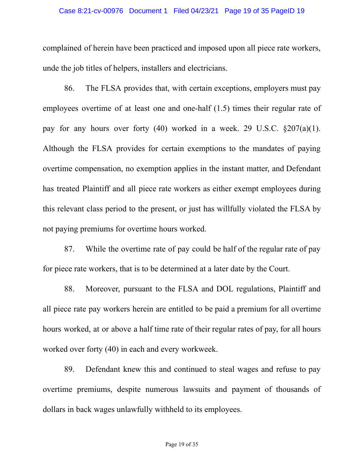#### Case 8:21-cv-00976 Document 1 Filed 04/23/21 Page 19 of 35 PageID 19

complained of herein have been practiced and imposed upon all piece rate workers, unde the job titles of helpers, installers and electricians.

86. The FLSA provides that, with certain exceptions, employers must pay employees overtime of at least one and one-half (1.5) times their regular rate of pay for any hours over forty (40) worked in a week. 29 U.S.C. §207(a)(1). Although the FLSA provides for certain exemptions to the mandates of paying overtime compensation, no exemption applies in the instant matter, and Defendant has treated Plaintiff and all piece rate workers as either exempt employees during this relevant class period to the present, or just has willfully violated the FLSA by not paying premiums for overtime hours worked.

87. While the overtime rate of pay could be half of the regular rate of pay for piece rate workers, that is to be determined at a later date by the Court.

88. Moreover, pursuant to the FLSA and DOL regulations, Plaintiff and all piece rate pay workers herein are entitled to be paid a premium for all overtime hours worked, at or above a half time rate of their regular rates of pay, for all hours worked over forty (40) in each and every workweek.

89. Defendant knew this and continued to steal wages and refuse to pay overtime premiums, despite numerous lawsuits and payment of thousands of dollars in back wages unlawfully withheld to its employees.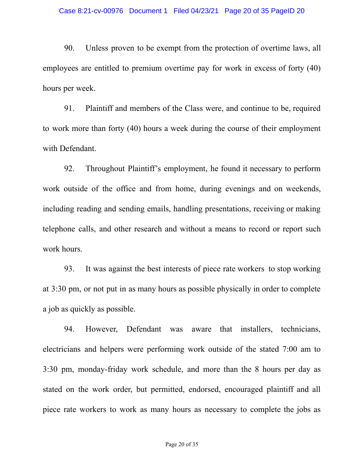90. Unless proven to be exempt from the protection of overtime laws, all employees are entitled to premium overtime pay for work in excess of forty (40) hours per week.

91. Plaintiff and members of the Class were, and continue to be, required to work more than forty (40) hours a week during the course of their employment with Defendant.

92. Throughout Plaintiff's employment, he found it necessary to perform work outside of the office and from home, during evenings and on weekends, including reading and sending emails, handling presentations, receiving or making telephone calls, and other research and without a means to record or report such work hours.

93. It was against the best interests of piece rate workers to stop working at 3:30 pm, or not put in as many hours as possible physically in order to complete a job as quickly as possible.

94. However, Defendant was aware that installers, technicians, electricians and helpers were performing work outside of the stated 7:00 am to 3:30 pm, monday-friday work schedule, and more than the 8 hours per day as stated on the work order, but permitted, endorsed, encouraged plaintiff and all piece rate workers to work as many hours as necessary to complete the jobs as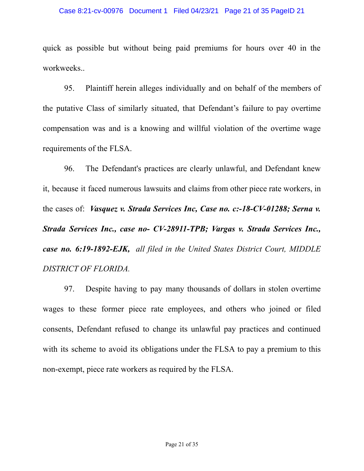#### Case 8:21-cv-00976 Document 1 Filed 04/23/21 Page 21 of 35 PageID 21

quick as possible but without being paid premiums for hours over 40 in the workweeks..

95. Plaintiff herein alleges individually and on behalf of the members of the putative Class of similarly situated, that Defendant's failure to pay overtime compensation was and is a knowing and willful violation of the overtime wage requirements of the FLSA.

96. The Defendant's practices are clearly unlawful, and Defendant knew it, because it faced numerous lawsuits and claims from other piece rate workers, in the cases of: *Vasquez v. Strada Services Inc, Case no. c:-18-CV-01288; Serna v. Strada Services Inc., case no- CV-28911-TPB; Vargas v. Strada Services Inc., case no. 6:19-1892-EJK, all filed in the United States District Court, MIDDLE DISTRICT OF FLORIDA.*

97. Despite having to pay many thousands of dollars in stolen overtime wages to these former piece rate employees, and others who joined or filed consents, Defendant refused to change its unlawful pay practices and continued with its scheme to avoid its obligations under the FLSA to pay a premium to this non-exempt, piece rate workers as required by the FLSA.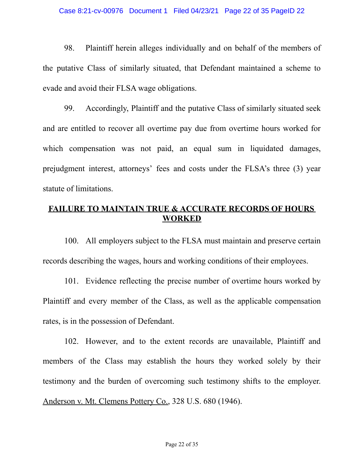98. Plaintiff herein alleges individually and on behalf of the members of the putative Class of similarly situated, that Defendant maintained a scheme to evade and avoid their FLSA wage obligations.

99. Accordingly, Plaintiff and the putative Class of similarly situated seek and are entitled to recover all overtime pay due from overtime hours worked for which compensation was not paid, an equal sum in liquidated damages, prejudgment interest, attorneys' fees and costs under the FLSA's three (3) year statute of limitations.

# **FAILURE TO MAINTAIN TRUE & ACCURATE RECORDS OF HOURS WORKED**

100. All employers subject to the FLSA must maintain and preserve certain records describing the wages, hours and working conditions of their employees.

101. Evidence reflecting the precise number of overtime hours worked by Plaintiff and every member of the Class, as well as the applicable compensation rates, is in the possession of Defendant.

102. However, and to the extent records are unavailable, Plaintiff and members of the Class may establish the hours they worked solely by their testimony and the burden of overcoming such testimony shifts to the employer. Anderson v. Mt. Clemens Pottery Co., 328 U.S. 680 (1946).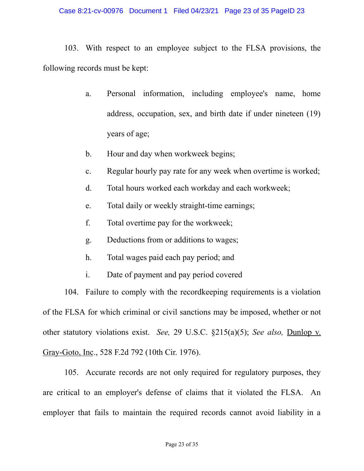103. With respect to an employee subject to the FLSA provisions, the following records must be kept:

- a. Personal information, including employee's name, home address, occupation, sex, and birth date if under nineteen (19) years of age;
- b. Hour and day when workweek begins;
- c. Regular hourly pay rate for any week when overtime is worked;
- d. Total hours worked each workday and each workweek;
- e. Total daily or weekly straight-time earnings;
- f. Total overtime pay for the workweek;
- g. Deductions from or additions to wages;
- h. Total wages paid each pay period; and
- i. Date of payment and pay period covered

104. Failure to comply with the recordkeeping requirements is a violation of the FLSA for which criminal or civil sanctions may be imposed, whether or not other statutory violations exist. *See,* 29 U.S.C. §215(a)(5); *See also,* Dunlop v. Gray-Goto, Inc., 528 F.2d 792 (10th Cir. 1976).

105. Accurate records are not only required for regulatory purposes, they are critical to an employer's defense of claims that it violated the FLSA. An employer that fails to maintain the required records cannot avoid liability in a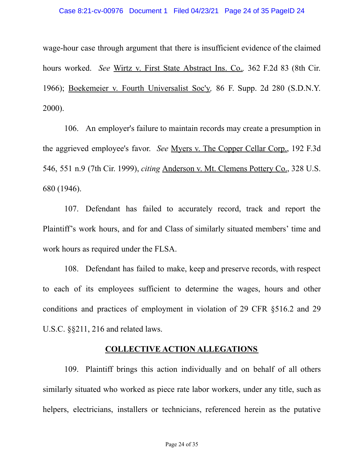wage-hour case through argument that there is insufficient evidence of the claimed hours worked. *See* Wirtz v. First State Abstract Ins. Co.*,* 362 F.2d 83 (8th Cir. 1966); Boekemeier v. Fourth Universalist Soc'y*,* 86 F. Supp. 2d 280 (S.D.N.Y. 2000).

106. An employer's failure to maintain records may create a presumption in the aggrieved employee's favor. *See* Myers v. The Copper Cellar Corp., 192 F.3d 546, 551 n.9 (7th Cir. 1999), *citing* Anderson v. Mt. Clemens Pottery Co., 328 U.S. 680 (1946).

107. Defendant has failed to accurately record, track and report the Plaintiff's work hours, and for and Class of similarly situated members' time and work hours as required under the FLSA.

108. Defendant has failed to make, keep and preserve records, with respect to each of its employees sufficient to determine the wages, hours and other conditions and practices of employment in violation of 29 CFR §516.2 and 29 U.S.C. §§211, 216 and related laws.

### **COLLECTIVE ACTION ALLEGATIONS**

109. Plaintiff brings this action individually and on behalf of all others similarly situated who worked as piece rate labor workers, under any title, such as helpers, electricians, installers or technicians, referenced herein as the putative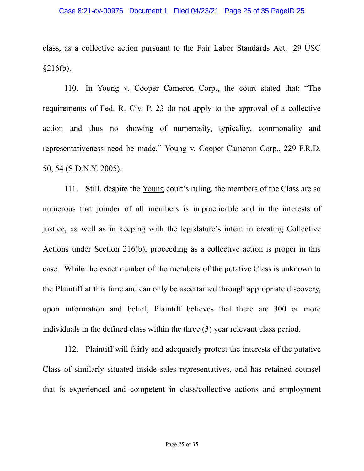class, as a collective action pursuant to the Fair Labor Standards Act. 29 USC  $§216(b).$ 

110. In Young v. Cooper Cameron Corp., the court stated that: "The requirements of Fed. R. Civ. P. 23 do not apply to the approval of a collective action and thus no showing of numerosity, typicality, commonality and representativeness need be made." Young v. Cooper Cameron Corp., 229 F.R.D. 50, 54 (S.D.N.Y. 2005)*.*

111. Still, despite the Young court's ruling, the members of the Class are so numerous that joinder of all members is impracticable and in the interests of justice, as well as in keeping with the legislature's intent in creating Collective Actions under Section 216(b), proceeding as a collective action is proper in this case. While the exact number of the members of the putative Class is unknown to the Plaintiff at this time and can only be ascertained through appropriate discovery, upon information and belief, Plaintiff believes that there are 300 or more individuals in the defined class within the three (3) year relevant class period.

112. Plaintiff will fairly and adequately protect the interests of the putative Class of similarly situated inside sales representatives, and has retained counsel that is experienced and competent in class/collective actions and employment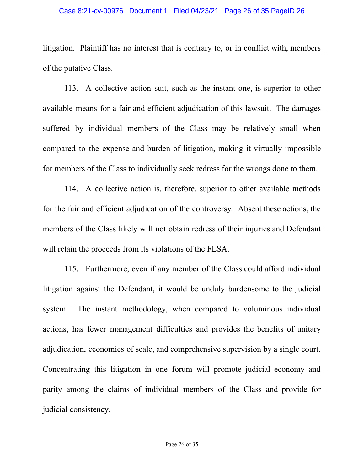#### Case 8:21-cv-00976 Document 1 Filed 04/23/21 Page 26 of 35 PageID 26

litigation. Plaintiff has no interest that is contrary to, or in conflict with, members of the putative Class.

113. A collective action suit, such as the instant one, is superior to other available means for a fair and efficient adjudication of this lawsuit. The damages suffered by individual members of the Class may be relatively small when compared to the expense and burden of litigation, making it virtually impossible for members of the Class to individually seek redress for the wrongs done to them.

114. A collective action is, therefore, superior to other available methods for the fair and efficient adjudication of the controversy. Absent these actions, the members of the Class likely will not obtain redress of their injuries and Defendant will retain the proceeds from its violations of the FLSA.

115. Furthermore, even if any member of the Class could afford individual litigation against the Defendant, it would be unduly burdensome to the judicial system. The instant methodology, when compared to voluminous individual actions, has fewer management difficulties and provides the benefits of unitary adjudication, economies of scale, and comprehensive supervision by a single court. Concentrating this litigation in one forum will promote judicial economy and parity among the claims of individual members of the Class and provide for judicial consistency.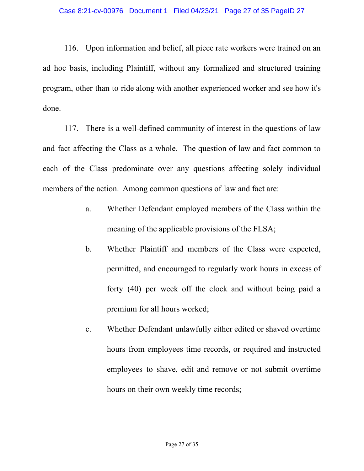116. Upon information and belief, all piece rate workers were trained on an ad hoc basis, including Plaintiff, without any formalized and structured training program, other than to ride along with another experienced worker and see how it's done.

117. There is a well-defined community of interest in the questions of law and fact affecting the Class as a whole. The question of law and fact common to each of the Class predominate over any questions affecting solely individual members of the action. Among common questions of law and fact are:

- a. Whether Defendant employed members of the Class within the meaning of the applicable provisions of the FLSA;
- b. Whether Plaintiff and members of the Class were expected, permitted, and encouraged to regularly work hours in excess of forty (40) per week off the clock and without being paid a premium for all hours worked;
- c. Whether Defendant unlawfully either edited or shaved overtime hours from employees time records, or required and instructed employees to shave, edit and remove or not submit overtime hours on their own weekly time records;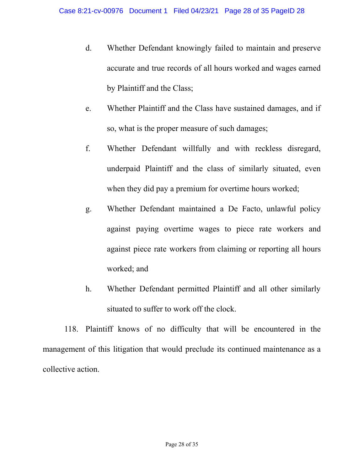- d. Whether Defendant knowingly failed to maintain and preserve accurate and true records of all hours worked and wages earned by Plaintiff and the Class;
- e. Whether Plaintiff and the Class have sustained damages, and if so, what is the proper measure of such damages;
- f. Whether Defendant willfully and with reckless disregard, underpaid Plaintiff and the class of similarly situated, even when they did pay a premium for overtime hours worked;
- g. Whether Defendant maintained a De Facto, unlawful policy against paying overtime wages to piece rate workers and against piece rate workers from claiming or reporting all hours worked; and
- h. Whether Defendant permitted Plaintiff and all other similarly situated to suffer to work off the clock.

118. Plaintiff knows of no difficulty that will be encountered in the management of this litigation that would preclude its continued maintenance as a collective action.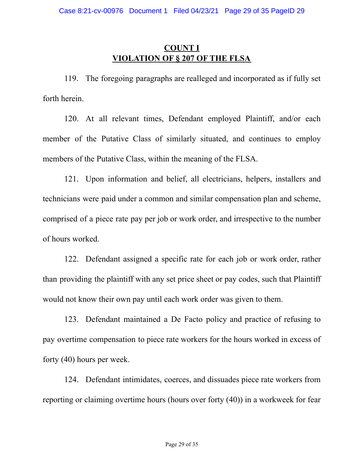# **COUNT I VIOLATION OF § 207 OF THE FLSA**

119. The foregoing paragraphs are realleged and incorporated as if fully set forth herein.

120. At all relevant times, Defendant employed Plaintiff, and/or each member of the Putative Class of similarly situated, and continues to employ members of the Putative Class, within the meaning of the FLSA.

121. Upon information and belief, all electricians, helpers, installers and technicians were paid under a common and similar compensation plan and scheme, comprised of a piece rate pay per job or work order, and irrespective to the number of hours worked.

122. Defendant assigned a specific rate for each job or work order, rather than providing the plaintiff with any set price sheet or pay codes, such that Plaintiff would not know their own pay until each work order was given to them.

123. Defendant maintained a De Facto policy and practice of refusing to pay overtime compensation to piece rate workers for the hours worked in excess of forty (40) hours per week.

124. Defendant intimidates, coerces, and dissuades piece rate workers from reporting or claiming overtime hours (hours over forty (40)) in a workweek for fear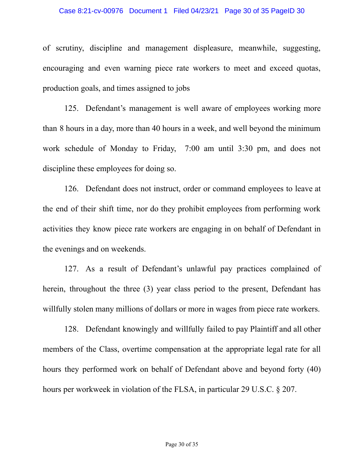of scrutiny, discipline and management displeasure, meanwhile, suggesting, encouraging and even warning piece rate workers to meet and exceed quotas, production goals, and times assigned to jobs

125. Defendant's management is well aware of employees working more than 8 hours in a day, more than 40 hours in a week, and well beyond the minimum work schedule of Monday to Friday, 7:00 am until 3:30 pm, and does not discipline these employees for doing so.

126. Defendant does not instruct, order or command employees to leave at the end of their shift time, nor do they prohibit employees from performing work activities they know piece rate workers are engaging in on behalf of Defendant in the evenings and on weekends.

127. As a result of Defendant's unlawful pay practices complained of herein, throughout the three (3) year class period to the present, Defendant has willfully stolen many millions of dollars or more in wages from piece rate workers.

128. Defendant knowingly and willfully failed to pay Plaintiff and all other members of the Class, overtime compensation at the appropriate legal rate for all hours they performed work on behalf of Defendant above and beyond forty (40) hours per workweek in violation of the FLSA, in particular 29 U.S.C. § 207.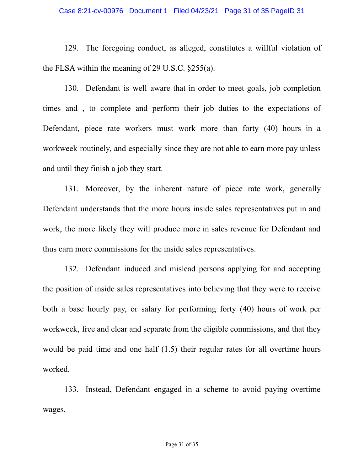#### Case 8:21-cv-00976 Document 1 Filed 04/23/21 Page 31 of 35 PageID 31

129. The foregoing conduct, as alleged, constitutes a willful violation of the FLSA within the meaning of 29 U.S.C. §255(a).

130. Defendant is well aware that in order to meet goals, job completion times and , to complete and perform their job duties to the expectations of Defendant, piece rate workers must work more than forty (40) hours in a workweek routinely, and especially since they are not able to earn more pay unless and until they finish a job they start.

131. Moreover, by the inherent nature of piece rate work, generally Defendant understands that the more hours inside sales representatives put in and work, the more likely they will produce more in sales revenue for Defendant and thus earn more commissions for the inside sales representatives.

132. Defendant induced and mislead persons applying for and accepting the position of inside sales representatives into believing that they were to receive both a base hourly pay, or salary for performing forty (40) hours of work per workweek, free and clear and separate from the eligible commissions, and that they would be paid time and one half  $(1.5)$  their regular rates for all overtime hours worked.

133. Instead, Defendant engaged in a scheme to avoid paying overtime wages.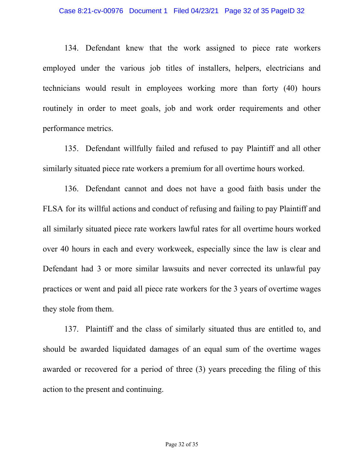134. Defendant knew that the work assigned to piece rate workers employed under the various job titles of installers, helpers, electricians and technicians would result in employees working more than forty (40) hours routinely in order to meet goals, job and work order requirements and other performance metrics.

135. Defendant willfully failed and refused to pay Plaintiff and all other similarly situated piece rate workers a premium for all overtime hours worked.

136. Defendant cannot and does not have a good faith basis under the FLSA for its willful actions and conduct of refusing and failing to pay Plaintiff and all similarly situated piece rate workers lawful rates for all overtime hours worked over 40 hours in each and every workweek, especially since the law is clear and Defendant had 3 or more similar lawsuits and never corrected its unlawful pay practices or went and paid all piece rate workers for the 3 years of overtime wages they stole from them.

137. Plaintiff and the class of similarly situated thus are entitled to, and should be awarded liquidated damages of an equal sum of the overtime wages awarded or recovered for a period of three (3) years preceding the filing of this action to the present and continuing.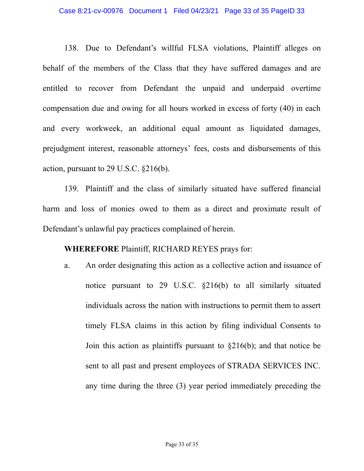138. Due to Defendant's willful FLSA violations, Plaintiff alleges on behalf of the members of the Class that they have suffered damages and are entitled to recover from Defendant the unpaid and underpaid overtime compensation due and owing for all hours worked in excess of forty (40) in each and every workweek, an additional equal amount as liquidated damages, prejudgment interest, reasonable attorneys' fees, costs and disbursements of this action, pursuant to 29 U.S.C. §216(b).

139. Plaintiff and the class of similarly situated have suffered financial harm and loss of monies owed to them as a direct and proximate result of Defendant's unlawful pay practices complained of herein.

**WHEREFORE** Plaintiff, RICHARD REYES prays for:

a. An order designating this action as a collective action and issuance of notice pursuant to 29 U.S.C. §216(b) to all similarly situated individuals across the nation with instructions to permit them to assert timely FLSA claims in this action by filing individual Consents to Join this action as plaintiffs pursuant to §216(b); and that notice be sent to all past and present employees of STRADA SERVICES INC. any time during the three (3) year period immediately preceding the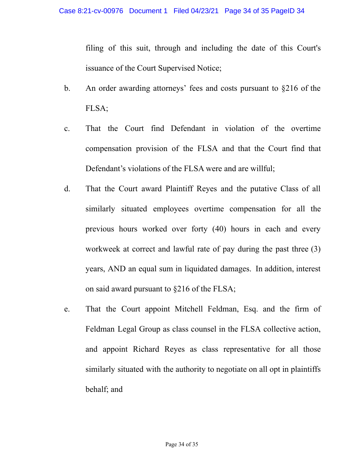filing of this suit, through and including the date of this Court's issuance of the Court Supervised Notice;

- b. An order awarding attorneys' fees and costs pursuant to §216 of the FLSA;
- c. That the Court find Defendant in violation of the overtime compensation provision of the FLSA and that the Court find that Defendant's violations of the FLSA were and are willful;
- d. That the Court award Plaintiff Reyes and the putative Class of all similarly situated employees overtime compensation for all the previous hours worked over forty (40) hours in each and every workweek at correct and lawful rate of pay during the past three (3) years, AND an equal sum in liquidated damages. In addition, interest on said award pursuant to §216 of the FLSA;
- e. That the Court appoint Mitchell Feldman, Esq. and the firm of Feldman Legal Group as class counsel in the FLSA collective action, and appoint Richard Reyes as class representative for all those similarly situated with the authority to negotiate on all opt in plaintiffs behalf; and